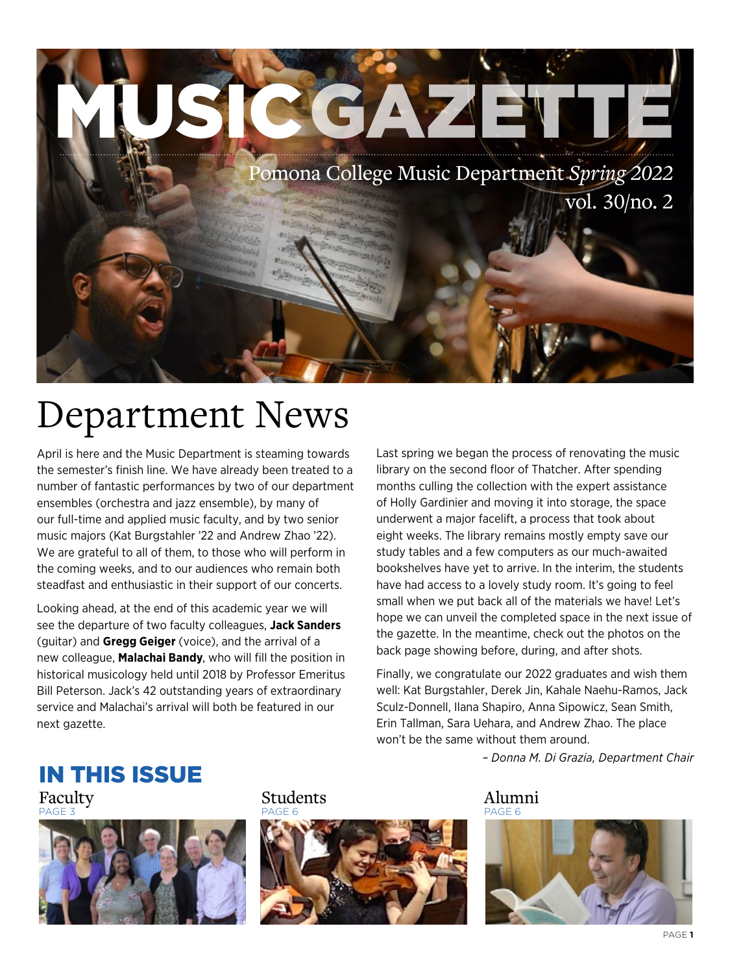

### Department News

April is here and the Music Department is steaming towards the semester's finish line. We have already been treated to a number of fantastic performances by two of our department ensembles (orchestra and jazz ensemble), by many of our full-time and applied music faculty, and by two senior music majors (Kat Burgstahler '22 and Andrew Zhao '22). We are grateful to all of them, to those who will perform in the coming weeks, and to our audiences who remain both steadfast and enthusiastic in their support of our concerts.

Looking ahead, at the end of this academic year we will see the departure of two faculty colleagues, **Jack Sanders** (guitar) and **Gregg Geiger** (voice), and the arrival of a new colleague, **Malachai Bandy**, who will fill the position in historical musicology held until 2018 by Professor Emeritus Bill Peterson. Jack's 42 outstanding years of extraordinary service and Malachai's arrival will both be featured in our next gazette.

Last spring we began the process of renovating the music library on the second floor of Thatcher. After spending months culling the collection with the expert assistance of Holly Gardinier and moving it into storage, the space underwent a major facelift, a process that took about eight weeks. The library remains mostly empty save our study tables and a few computers as our much-awaited bookshelves have yet to arrive. In the interim, the students have had access to a lovely study room. It's going to feel small when we put back all of the materials we have! Let's hope we can unveil the completed space in the next issue of the gazette. In the meantime, check out the photos on the back page showing before, during, and after shots.

Finally, we congratulate our 2022 graduates and wish them well: Kat Burgstahler, Derek Jin, Kahale Naehu-Ramos, Jack Sculz-Donnell, Ilana Shapiro, Anna Sipowicz, Sean Smith, Erin Tallman, Sara Uehara, and Andrew Zhao. The place won't be the same without them around.

*– Donna M. Di Grazia, Department Chair*

### IN THIS ISSUE



Faculty **Students** Students Alumni



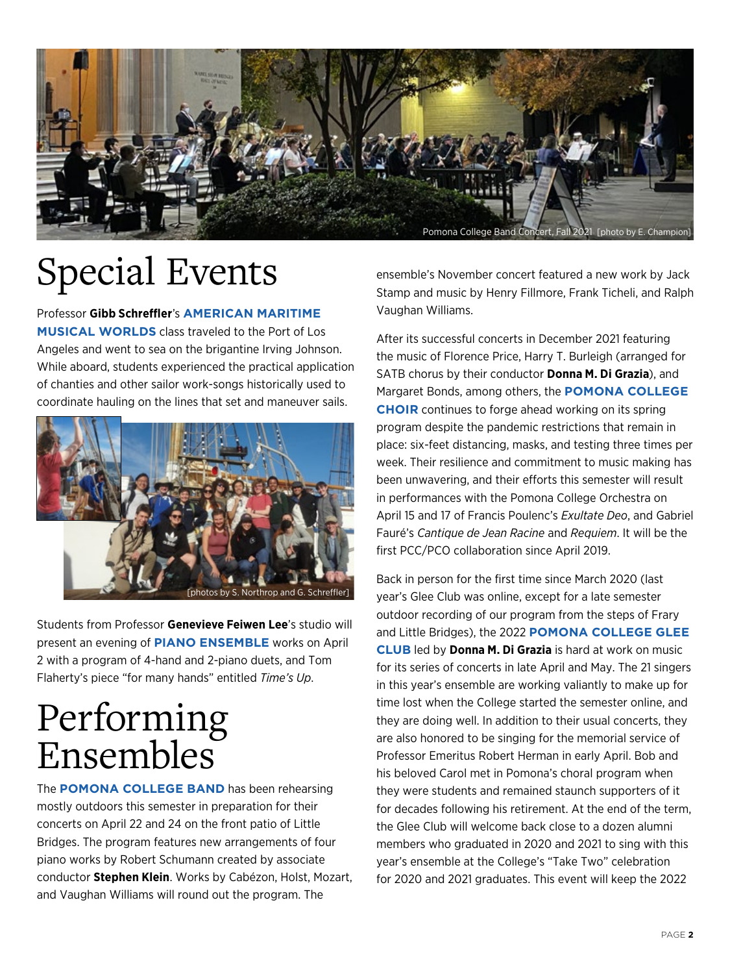

# Special Events

Professor **Gibb Schreffler**'s **AMERICAN MARITIME MUSICAL WORLDS** class traveled to the Port of Los Angeles and went to sea on the brigantine Irving Johnson. While aboard, students experienced the practical application of chanties and other sailor work-songs historically used to coordinate hauling on the lines that set and maneuver sails.



Students from Professor **Genevieve Feiwen Lee**'s studio will present an evening of **PIANO ENSEMBLE** works on April 2 with a program of 4-hand and 2-piano duets, and Tom Flaherty's piece "for many hands" entitled *Time's Up*.

### Performing Ensembles

The **POMONA COLLEGE BAND** has been rehearsing mostly outdoors this semester in preparation for their concerts on April 22 and 24 on the front patio of Little Bridges. The program features new arrangements of four piano works by Robert Schumann created by associate conductor **Stephen Klein**. Works by Cabézon, Holst, Mozart, and Vaughan Williams will round out the program. The

ensemble's November concert featured a new work by Jack Stamp and music by Henry Fillmore, Frank Ticheli, and Ralph Vaughan Williams.

After its successful concerts in December 2021 featuring the music of Florence Price, Harry T. Burleigh (arranged for SATB chorus by their conductor **Donna M. Di Grazia**), and Margaret Bonds, among others, the **POMONA COLLEGE CHOIR** continues to forge ahead working on its spring program despite the pandemic restrictions that remain in place: six-feet distancing, masks, and testing three times per week. Their resilience and commitment to music making has been unwavering, and their efforts this semester will result in performances with the Pomona College Orchestra on April 15 and 17 of Francis Poulenc's *Exultate Deo*, and Gabriel Fauré's *Cantique de Jean Racine* and *Requiem*. It will be the first PCC/PCO collaboration since April 2019.

Back in person for the first time since March 2020 (last year's Glee Club was online, except for a late semester outdoor recording of our program from the steps of Frary and Little Bridges), the 2022 **POMONA COLLEGE GLEE CLUB** led by **Donna M. Di Grazia** is hard at work on music for its series of concerts in late April and May. The 21 singers in this year's ensemble are working valiantly to make up for time lost when the College started the semester online, and they are doing well. In addition to their usual concerts, they are also honored to be singing for the memorial service of Professor Emeritus Robert Herman in early April. Bob and his beloved Carol met in Pomona's choral program when they were students and remained staunch supporters of it for decades following his retirement. At the end of the term, the Glee Club will welcome back close to a dozen alumni members who graduated in 2020 and 2021 to sing with this year's ensemble at the College's "Take Two" celebration for 2020 and 2021 graduates. This event will keep the 2022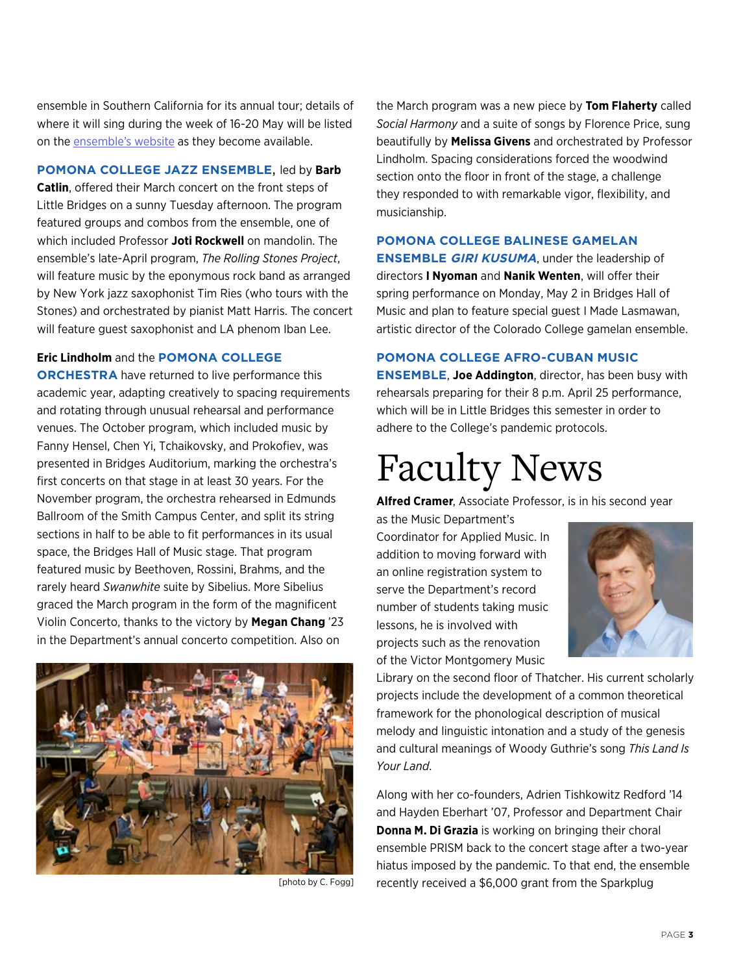ensemble in Southern California for its annual tour; details of where it will sing during the week of 16-20 May will be listed on the [ensemble's website](https://www.pomona.edu/choral/glee-club/current-repertoire-performances) as they become available.

#### **POMONA COLLEGE JAZZ ENSEMBLE**, led by **Barb**

**Catlin**, offered their March concert on the front steps of Little Bridges on a sunny Tuesday afternoon. The program featured groups and combos from the ensemble, one of which included Professor **Joti Rockwell** on mandolin. The ensemble's late-April program, *The Rolling Stones Project*, will feature music by the eponymous rock band as arranged by New York jazz saxophonist Tim Ries (who tours with the Stones) and orchestrated by pianist Matt Harris. The concert will feature guest saxophonist and LA phenom Iban Lee.

#### **Eric Lindholm** and the **POMONA COLLEGE**

**ORCHESTRA** have returned to live performance this academic year, adapting creatively to spacing requirements and rotating through unusual rehearsal and performance venues. The October program, which included music by Fanny Hensel, Chen Yi, Tchaikovsky, and Prokofiev, was presented in Bridges Auditorium, marking the orchestra's first concerts on that stage in at least 30 years. For the November program, the orchestra rehearsed in Edmunds Ballroom of the Smith Campus Center, and split its string sections in half to be able to fit performances in its usual space, the Bridges Hall of Music stage. That program featured music by Beethoven, Rossini, Brahms, and the rarely heard *Swanwhite* suite by Sibelius. More Sibelius graced the March program in the form of the magnificent Violin Concerto, thanks to the victory by **Megan Chang** '23 in the Department's annual concerto competition. Also on



the March program was a new piece by **Tom Flaherty** called *Social Harmony* and a suite of songs by Florence Price, sung beautifully by **Melissa Givens** and orchestrated by Professor Lindholm. Spacing considerations forced the woodwind section onto the floor in front of the stage, a challenge they responded to with remarkable vigor, flexibility, and musicianship.

#### **POMONA COLLEGE BALINESE GAMELAN**

**ENSEMBLE GIRI KUSUMA**, under the leadership of directors **I Nyoman** and **Nanik Wenten**, will offer their spring performance on Monday, May 2 in Bridges Hall of Music and plan to feature special guest I Made Lasmawan, artistic director of the Colorado College gamelan ensemble.

#### **POMONA COLLEGE AFRO-CUBAN MUSIC**

**ENSEMBLE**, **Joe Addington**, director, has been busy with rehearsals preparing for their 8 p.m. April 25 performance, which will be in Little Bridges this semester in order to adhere to the College's pandemic protocols.

### Faculty News

**Alfred Cramer**, Associate Professor, is in his second year

as the Music Department's Coordinator for Applied Music. In addition to moving forward with an online registration system to serve the Department's record number of students taking music lessons, he is involved with projects such as the renovation of the Victor Montgomery Music



Library on the second floor of Thatcher. His current scholarly projects include the development of a common theoretical framework for the phonological description of musical melody and linguistic intonation and a study of the genesis and cultural meanings of Woody Guthrie's song *This Land Is Your Land*.

Along with her co-founders, Adrien Tishkowitz Redford '14 and Hayden Eberhart '07, Professor and Department Chair **Donna M. Di Grazia** is working on bringing their choral ensemble PRISM back to the concert stage after a two-year hiatus imposed by the pandemic. To that end, the ensemble [photo by C. Fogg] recently received a \$6,000 grant from the Sparkplug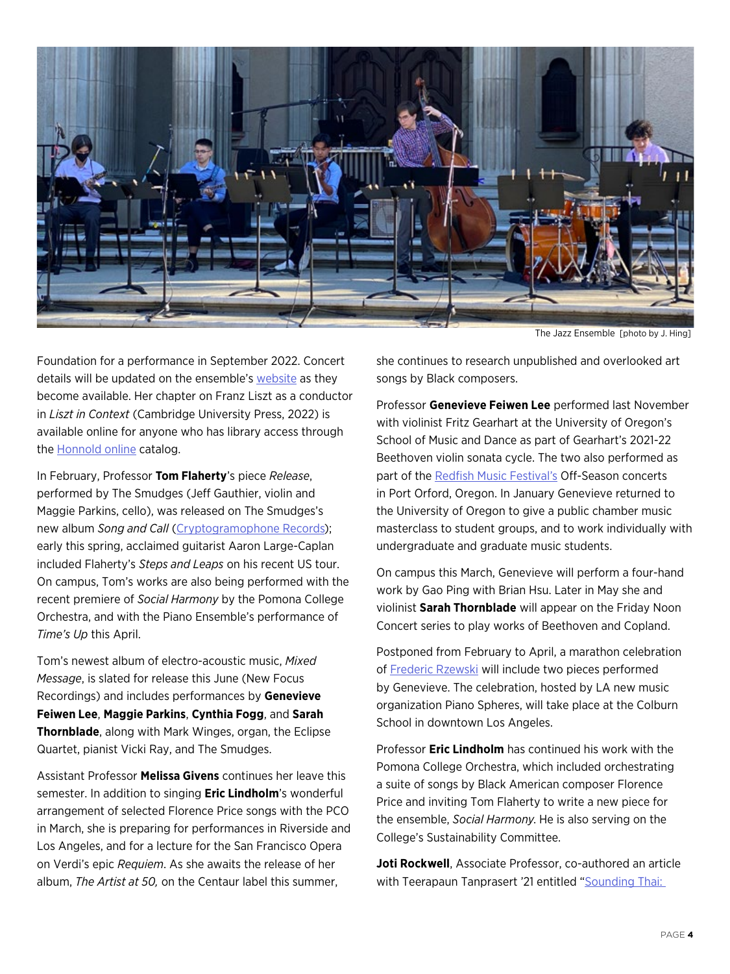

The Jazz Ensemble [photo by J. Hing]

Foundation for a performance in September 2022. Concert details will be updated on the ensemble's [website](https://www.prismensemble.org/) as they become available. Her chapter on Franz Liszt as a conductor in *Liszt in Context* (Cambridge University Press, 2022) is available online for anyone who has library access through the [Honnold online](https://www-cambridge-org.ccl.idm.oclc.org/core/books/liszt-in-context/liszt-as-conductor/B6FF16837DC2A0C771C38BB08BE8B26A) catalog.

In February, Professor **Tom Flaherty**'s piece *Release*, performed by The Smudges (Jeff Gauthier, violin and Maggie Parkins, cello), was released on The Smudges's new album *Song and Call* [\(Cryptogramophone Records\)](https://cryptogramophone.bandcamp.com/album/song-and-call-2); early this spring, acclaimed guitarist Aaron Large-Caplan included Flaherty's *Steps and Leaps* on his recent US tour. On campus, Tom's works are also being performed with the recent premiere of *Social Harmony* by the Pomona College Orchestra, and with the Piano Ensemble's performance of *Time's Up* this April.

Tom's newest album of electro-acoustic music, *Mixed Message*, is slated for release this June (New Focus Recordings) and includes performances by **Genevieve Feiwen Lee**, **Maggie Parkins**, **Cynthia Fogg**, and **Sarah Thornblade**, along with Mark Winges, organ, the Eclipse Quartet, pianist Vicki Ray, and The Smudges.

Assistant Professor **Melissa Givens** continues her leave this semester. In addition to singing **Eric Lindholm**'s wonderful arrangement of selected Florence Price songs with the PCO in March, she is preparing for performances in Riverside and Los Angeles, and for a lecture for the San Francisco Opera on Verdi's epic *Requiem*. As she awaits the release of her album, *The Artist at 50,* on the Centaur label this summer,

she continues to research unpublished and overlooked art songs by Black composers.

Professor **Genevieve Feiwen Lee** performed last November with violinist Fritz Gearhart at the University of Oregon's School of Music and Dance as part of Gearhart's 2021-22 Beethoven violin sonata cycle. The two also performed as part of the [Redfish Music Festival's](https://redfishmusicfestival.com/events.html) Off-Season concerts in Port Orford, Oregon. In January Genevieve returned to the University of Oregon to give a public chamber music masterclass to student groups, and to work individually with undergraduate and graduate music students.

On campus this March, Genevieve will perform a four-hand work by Gao Ping with Brian Hsu. Later in May she and violinist **Sarah Thornblade** will appear on the Friday Noon Concert series to play works of Beethoven and Copland.

Postponed from February to April, a marathon celebration of [Frederic Rzewski](https://pianospheres.org/event/frederic-rzewski-in-los-angeles-apr-16-2022/) will include two pieces performed by Genevieve. The celebration, hosted by LA new music organization Piano Spheres, will take place at the Colburn School in downtown Los Angeles.

Professor **Eric Lindholm** has continued his work with the Pomona College Orchestra, which included orchestrating a suite of songs by Black American composer Florence Price and inviting Tom Flaherty to write a new piece for the ensemble, *Social Harmony*. He is also serving on the College's Sustainability Committee.

**Joti Rockwell**, Associate Professor, co-authored an article with Teerapaun Tanprasert '21 entitled "[Sounding Thai:](http://iftawm.org/journal/oldsite/articles/2021b/Tanprasert_Rockwell_AAWM_Vol_9_2.pdf)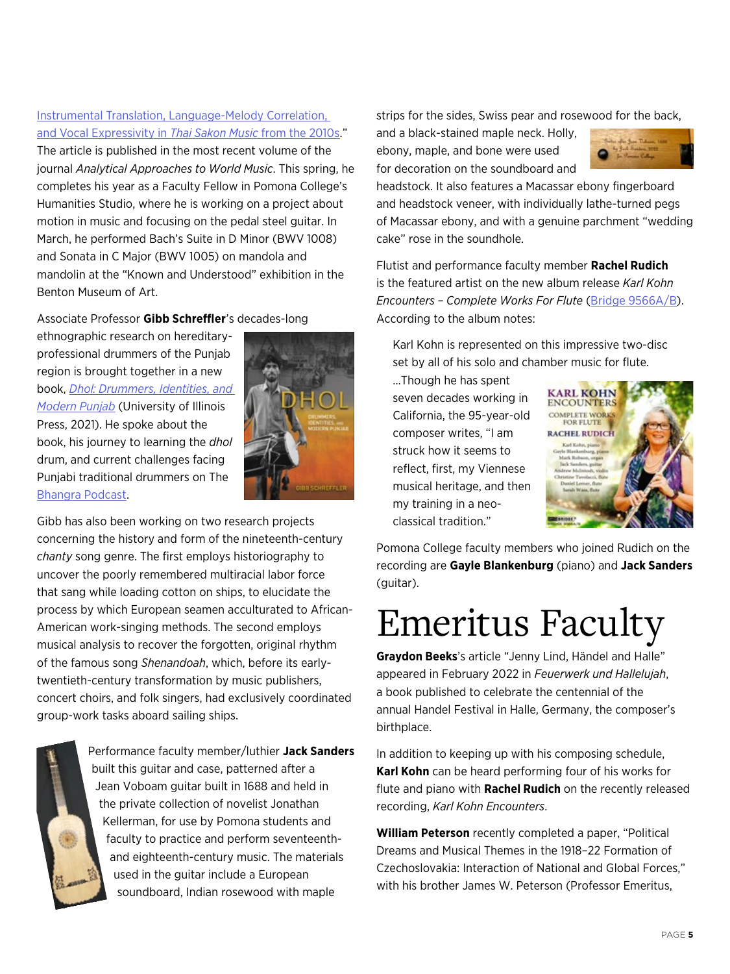#### [Instrumental Translation, Language-Melody Correlation,](http://iftawm.org/journal/oldsite/articles/2021b/Tanprasert_Rockwell_AAWM_Vol_9_2.pdf)  [and Vocal Expressivity in](http://iftawm.org/journal/oldsite/articles/2021b/Tanprasert_Rockwell_AAWM_Vol_9_2.pdf) *Thai Sakon Music* from the 2010s."

The article is published in the most recent volume of the journal *Analytical Approaches to World Music*. This spring, he completes his year as a Faculty Fellow in Pomona College's Humanities Studio, where he is working on a project about motion in music and focusing on the pedal steel guitar. In March, he performed Bach's Suite in D Minor (BWV 1008) and Sonata in C Major (BWV 1005) on mandola and mandolin at the "Known and Understood" exhibition in the Benton Museum of Art.

Associate Professor **Gibb Schreffler**'s decades-long

ethnographic research on hereditaryprofessional drummers of the Punjab region is brought together in a new book, *[Dhol: Drummers, Identities, and](https://www.press.uillinois.edu/books/?id=53qpg7tm9780252044076)  [Modern Punjab](https://www.press.uillinois.edu/books/?id=53qpg7tm9780252044076)* (University of Illinois Press, 2021). He spoke about the book, his journey to learning the *dhol* drum, and current challenges facing Punjabi traditional drummers on The [Bhangra Podcast](https://player.captivate.fm/episode/9f55d3f1-3302-4361-bae9-10f1c313a3b4).



Gibb has also been working on two research projects concerning the history and form of the nineteenth-century *chanty* song genre. The first employs historiography to uncover the poorly remembered multiracial labor force that sang while loading cotton on ships, to elucidate the process by which European seamen acculturated to African-American work-singing methods. The second employs musical analysis to recover the forgotten, original rhythm of the famous song *Shenandoah*, which, before its earlytwentieth-century transformation by music publishers, concert choirs, and folk singers, had exclusively coordinated group-work tasks aboard sailing ships.



Performance faculty member/luthier **Jack Sanders** built this guitar and case, patterned after a Jean Voboam guitar built in 1688 and held in the private collection of novelist Jonathan Kellerman, for use by Pomona students and faculty to practice and perform seventeenthand eighteenth-century music. The materials used in the guitar include a European soundboard, Indian rosewood with maple

strips for the sides, Swiss pear and rosewood for the back,

and a black-stained maple neck. Holly, ebony, maple, and bone were used for decoration on the soundboard and



headstock. It also features a Macassar ebony fingerboard and headstock veneer, with individually lathe-turned pegs of Macassar ebony, and with a genuine parchment "wedding cake" rose in the soundhole.

Flutist and performance faculty member **Rachel Rudich** is the featured artist on the new album release *Karl Kohn Encounters – Complete Works For Flute* [\(Bridge 9566A/B](https://bridgerecords.com/products/9566)). According to the album notes:

Karl Kohn is represented on this impressive two-disc set by all of his solo and chamber music for flute.

…Though he has spent seven decades working in California, the 95-year-old composer writes, "I am struck how it seems to reflect, first, my Viennese musical heritage, and then my training in a neoclassical tradition."



Pomona College faculty members who joined Rudich on the recording are **Gayle Blankenburg** (piano) and **Jack Sanders** (guitar).

## Emeritus Faculty

**Graydon Beeks**'s article "Jenny Lind, Händel and Halle" appeared in February 2022 in *Feuerwerk und Hallelujah*, a book published to celebrate the centennial of the annual Handel Festival in Halle, Germany, the composer's birthplace.

In addition to keeping up with his composing schedule, **Karl Kohn** can be heard performing four of his works for flute and piano with **Rachel Rudich** on the recently released recording, *Karl Kohn Encounters*.

**William Peterson** recently completed a paper, "Political Dreams and Musical Themes in the 1918–22 Formation of Czechoslovakia: Interaction of National and Global Forces," with his brother James W. Peterson (Professor Emeritus,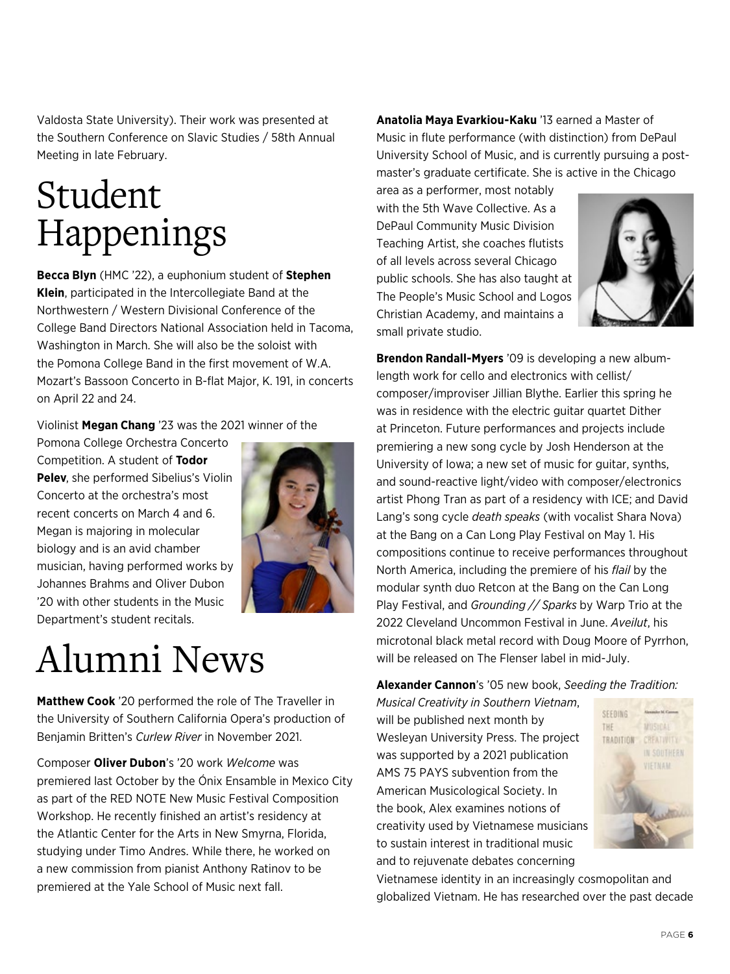Valdosta State University). Their work was presented at the Southern Conference on Slavic Studies / 58th Annual Meeting in late February.

# Student Happenings

**Becca Blyn** (HMC '22), a euphonium student of **Stephen Klein**, participated in the Intercollegiate Band at the Northwestern / Western Divisional Conference of the College Band Directors National Association held in Tacoma, Washington in March. She will also be the soloist with the Pomona College Band in the first movement of W.A. Mozart's Bassoon Concerto in B-flat Major, K. 191, in concerts on April 22 and 24.

#### Violinist **Megan Chang** '23 was the 2021 winner of the

Pomona College Orchestra Concerto Competition. A student of **Todor Pelev**, she performed Sibelius's Violin Concerto at the orchestra's most recent concerts on March 4 and 6. Megan is majoring in molecular biology and is an avid chamber musician, having performed works by Johannes Brahms and Oliver Dubon '20 with other students in the Music Department's student recitals.



### Alumni News

**Matthew Cook** '20 performed the role of The Traveller in the University of Southern California Opera's production of Benjamin Britten's *Curlew River* in November 2021.

Composer **Oliver Dubon**'s '20 work *Welcome* was premiered last October by the Ónix Ensamble in Mexico City as part of the RED NOTE New Music Festival Composition Workshop. He recently finished an artist's residency at the Atlantic Center for the Arts in New Smyrna, Florida, studying under Timo Andres. While there, he worked on a new commission from pianist Anthony Ratinov to be premiered at the Yale School of Music next fall.

**Anatolia Maya Evarkiou-Kaku** '13 earned a Master of Music in flute performance (with distinction) from DePaul University School of Music, and is currently pursuing a postmaster's graduate certificate. She is active in the Chicago

area as a performer, most notably with the 5th Wave Collective. As a DePaul Community Music Division Teaching Artist, she coaches flutists of all levels across several Chicago public schools. She has also taught at The People's Music School and Logos Christian Academy, and maintains a small private studio.



**Brendon Randall-Myers** '09 is developing a new albumlength work for cello and electronics with cellist/ composer/improviser Jillian Blythe. Earlier this spring he was in residence with the electric guitar quartet Dither at Princeton. Future performances and projects include premiering a new song cycle by Josh Henderson at the University of Iowa; a new set of music for guitar, synths, and sound-reactive light/video with composer/electronics artist Phong Tran as part of a residency with ICE; and David Lang's song cycle *death speaks* (with vocalist Shara Nova) at the Bang on a Can Long Play Festival on May 1. His compositions continue to receive performances throughout North America, including the premiere of his *flail* by the modular synth duo Retcon at the Bang on the Can Long Play Festival, and *Grounding // Sparks* by Warp Trio at the 2022 Cleveland Uncommon Festival in June. *Aveilut*, his microtonal black metal record with Doug Moore of Pyrrhon, will be released on The Flenser label in mid-July.

**Alexander Cannon**'s '05 new book, *Seeding the Tradition:* 

*Musical Creativity in Southern Vietnam*, will be published next month by Wesleyan University Press. The project was supported by a 2021 publication AMS 75 PAYS subvention from the American Musicological Society. In the book, Alex examines notions of creativity used by Vietnamese musicians to sustain interest in traditional music and to rejuvenate debates concerning



Vietnamese identity in an increasingly cosmopolitan and globalized Vietnam. He has researched over the past decade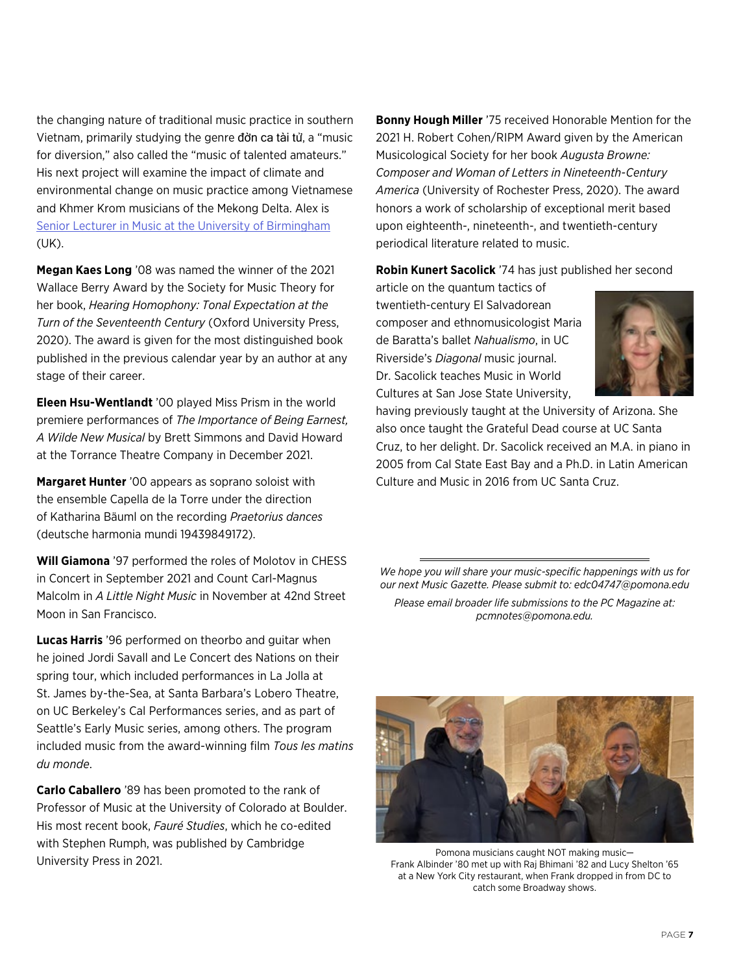the changing nature of traditional music practice in southern Vietnam, primarily studying the genre đờn ca tài tử, a "music for diversion," also called the "music of talented amateurs." His next project will examine the impact of climate and environmental change on music practice among Vietnamese and Khmer Krom musicians of the Mekong Delta. Alex is [Senior Lecturer in Music at the University of Birmingham](https://www.birmingham.ac.uk/staff/profiles/music/cannon-alexander.aspx) (UK).

**Megan Kaes Long** '08 was named the winner of the 2021 Wallace Berry Award by the Society for Music Theory for her book, *Hearing Homophony: Tonal Expectation at the Turn of the Seventeenth Century* (Oxford University Press, 2020). The award is given for the most distinguished book published in the previous calendar year by an author at any stage of their career.

**Eleen Hsu-Wentlandt** '00 played Miss Prism in the world premiere performances of *The Importance of Being Earnest, A Wilde New Musical* by Brett Simmons and David Howard at the Torrance Theatre Company in December 2021.

**Margaret Hunter** '00 appears as soprano soloist with the ensemble Capella de la Torre under the direction of Katharina Bäuml on the recording *Praetorius dances* (deutsche harmonia mundi 19439849172).

**Will Giamona** '97 performed the roles of Molotov in CHESS in Concert in September 2021 and Count Carl-Magnus Malcolm in *A Little Night Music* in November at 42nd Street Moon in San Francisco.

**Lucas Harris** '96 performed on theorbo and guitar when he joined Jordi Savall and Le Concert des Nations on their spring tour, which included performances in La Jolla at St. James by-the-Sea, at Santa Barbara's Lobero Theatre, on UC Berkeley's Cal Performances series, and as part of Seattle's Early Music series, among others. The program included music from the award-winning film *Tous les matins du monde*.

**Carlo Caballero** '89 has been promoted to the rank of Professor of Music at the University of Colorado at Boulder. His most recent book, *Fauré Studies*, which he co-edited with Stephen Rumph, was published by Cambridge University Press in 2021.

**Bonny Hough Miller** '75 received Honorable Mention for the 2021 H. Robert Cohen/RIPM Award given by the American Musicological Society for her book *Augusta Browne: Composer and Woman of Letters in Nineteenth-Century America* (University of Rochester Press, 2020). The award honors a work of scholarship of exceptional merit based upon eighteenth-, nineteenth-, and twentieth-century periodical literature related to music.

**Robin Kunert Sacolick** '74 has just published her second

article on the quantum tactics of twentieth-century El Salvadorean composer and ethnomusicologist Maria de Baratta's ballet *Nahualismo*, in UC Riverside's *Diagonal* music journal. Dr. Sacolick teaches Music in World Cultures at San Jose State University,



having previously taught at the University of Arizona. She also once taught the Grateful Dead course at UC Santa Cruz, to her delight. Dr. Sacolick received an M.A. in piano in 2005 from Cal State East Bay and a Ph.D. in Latin American Culture and Music in 2016 from UC Santa Cruz.

*We hope you will share your music-specific happenings with us for our next Music Gazette. Please submit to: edc04747@pomona.edu*

*Please email broader life submissions to the PC Magazine at: pcmnotes@pomona.edu.*



Pomona musicians caught NOT making music— Frank Albinder '80 met up with Raj Bhimani '82 and Lucy Shelton '65 at a New York City restaurant, when Frank dropped in from DC to catch some Broadway shows.